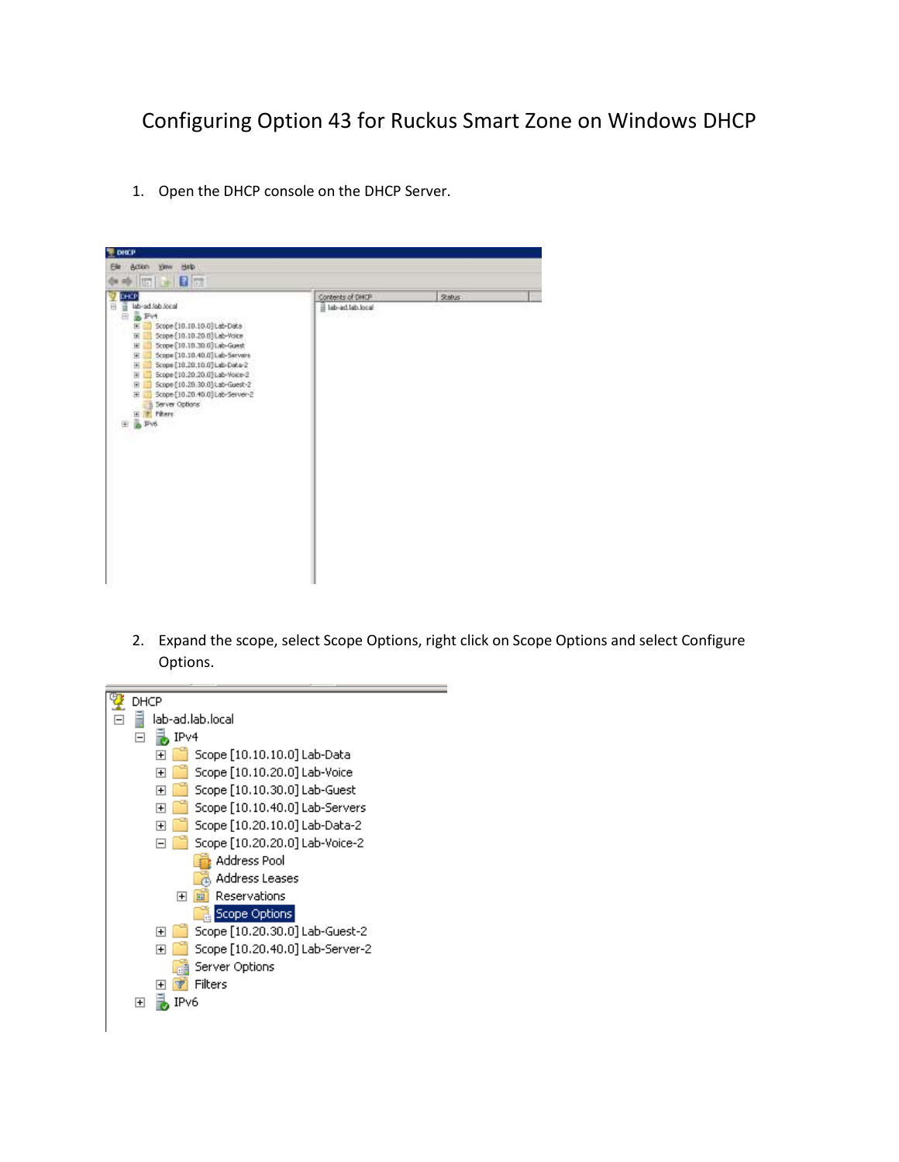## Configuring Option 43 for Ruckus Smart Zone on Windows DHCP

1. Open the DHCP console on the DHCP Server.



2. Expand the scope, select Scope Options, right click on Scope Options and select Configure Options.

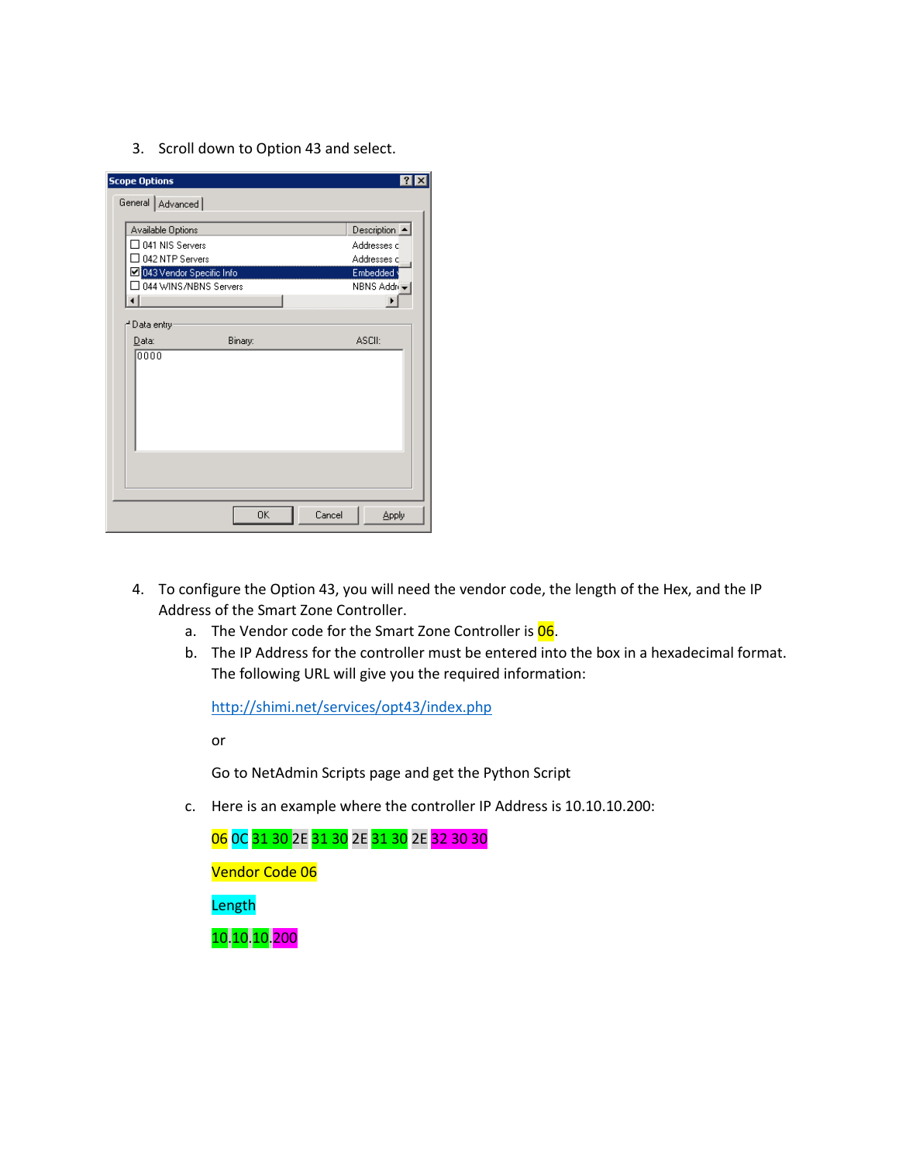3. Scroll down to Option 43 and select.

| <b>Scope Options</b>       |                         |             |              |  |  |
|----------------------------|-------------------------|-------------|--------------|--|--|
| General   Advanced         |                         |             |              |  |  |
|                            | Available Options       |             |              |  |  |
| $\Box$ 041 NIS Servers     |                         | Addresses d |              |  |  |
|                            | $\Box$ 042 NTP Servers  |             |              |  |  |
| ☑ 043 Vendor Specific Info |                         | Embedded y  |              |  |  |
|                            | ∃ 044 WINS/NBNS Servers |             |              |  |  |
|                            |                         |             |              |  |  |
| ≓Data entry∙               |                         |             |              |  |  |
| Data:                      | Binary:                 | ASCII:      |              |  |  |
| 0000                       |                         |             |              |  |  |
|                            | 0K                      | Cancel      | <b>Apply</b> |  |  |

- 4. To configure the Option 43, you will need the vendor code, the length of the Hex, and the IP Address of the Smart Zone Controller.
	- a. The Vendor code for the Smart Zone Controller is 06.
	- b. The IP Address for the controller must be entered into the box in a hexadecimal format. The following URL will give you the required information:

<http://shimi.net/services/opt43/index.php>

or

Go to NetAdmin Scripts page and get the Python Script

c. Here is an example where the controller IP Address is 10.10.10.200:

06 0C 31 30 2E 31 30 2E 31 30 2E 32 30 30 Vendor Code 06 Length 10.10.10.200